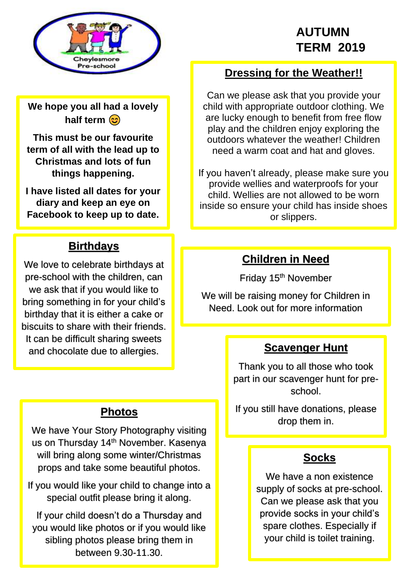

# **AUTUMN TERM 2019**

**We hope you all had a lovely**  half term  $\circledcirc$ 

**This must be our favourite term of all with the lead up to Christmas and lots of fun things happening.**

**I have listed all dates for your diary and keep an eye on Facebook to keep up to date.**

# **Birthdays**

We love to celebrate birthdays at pre-school with the children, can we ask that if you would like to bring something in for your child's birthday that it is either a cake or biscuits to share with their friends. It can be difficult sharing sweets and chocolate due to allergies.

# **Photos**

We have Your Story Photography visiting us on Thursday 14<sup>th</sup> November. Kasenya will bring along some winter/Christmas props and take some beautiful photos.

If you would like your child to change into a special outfit please bring it along.

If your child doesn't do a Thursday and you would like photos or if you would like sibling photos please bring them in between 9.30-11.30.

# **Dressing for the Weather!!**

Can we please ask that you provide your child with appropriate outdoor clothing. We are lucky enough to benefit from free flow play and the children enjoy exploring the outdoors whatever the weather! Children need a warm coat and hat and gloves.

If you haven't already, please make sure you provide wellies and waterproofs for your child. Wellies are not allowed to be worn inside so ensure your child has inside shoes or slippers.

# **Children in Need**

Friday 15th November

We will be raising money for Children in Need. Look out for more information

#### **. Scavenger Hunt**

Thank you to all those who took part in our scavenger hunt for preschool.

If you still have donations, please drop them in.

# **Socks .**

We have a non existence supply of socks at pre-school. Can we please ask that you provide socks in your child's spare clothes. Especially if your child is toilet training.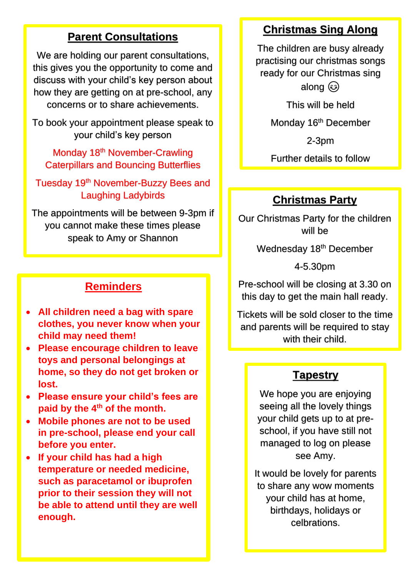## **Parent Consultations**

We are holding our parent consultations, this gives you the opportunity to come and discuss with your child's key person about how they are getting on at pre-school, any concerns or to share achievements.

To book your appointment please speak to your child's key person

Monday 18<sup>th</sup> November-Crawling Caterpillars and Bouncing Butterflies

Tuesday 19<sup>th</sup> November-Buzzy Bees and Laughing Ladybirds

The appointments will be between 9-3pm if you cannot make these times please speak to Amy or Shannon

#### **Reminders**

- **All children need a bag with spare clothes, you never know when your child may need them!**
- **Please encourage children to leave toys and personal belongings at home, so they do not get broken or lost.**
- **Please ensure your child's fees are paid by the 4th of the month.**
- **Mobile phones are not to be used in pre-school, please end your call before you enter.**
- **If your child has had a high temperature or needed medicine, such as paracetamol or ibuprofen prior to their session they will not be able to attend until they are well enough.**

# **Christmas Sing Along**

The children are busy already practising our christmas songs ready for our Christmas sing along  $\circled{a}$ 

This will be held

Monday 16<sup>th</sup> December

2-3pm

Further details to follow

#### **. Christmas Party**

Our Christmas Party for the children will be

Wednesday 18<sup>th</sup> December

4-5.30pm

Pre-school will be closing at 3.30 on this day to get the main hall ready.

Tickets will be sold closer to the time and parents will be required to stay with their child.

#### **. Tapestry**

We hope you are enjoying seeing all the lovely things your child gets up to at preschool, if you have still not managed to log on please see Amy.

It would be lovely for parents to share any wow moments your child has at home, birthdays, holidays or celbrations.